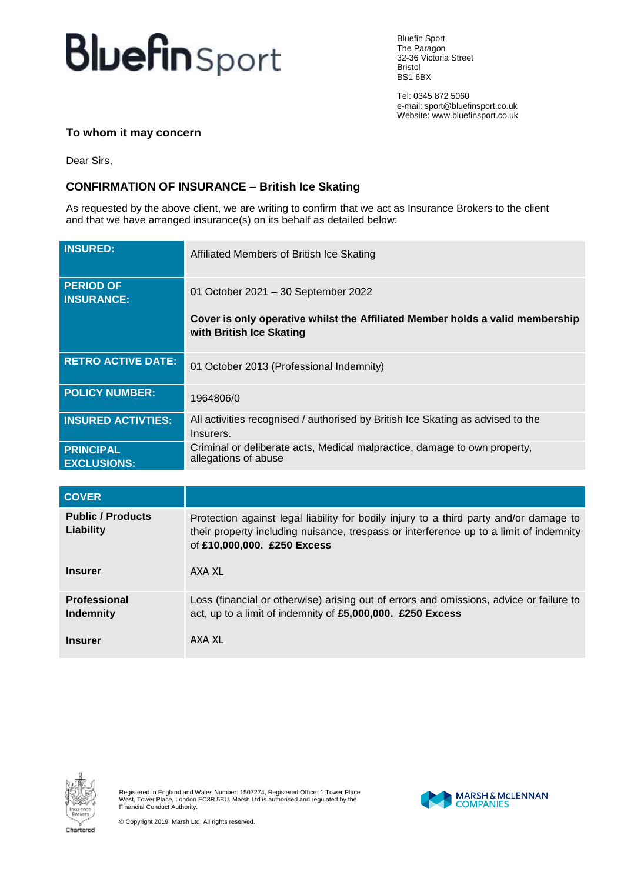## **Bluefin** Sport

Bluefin Sport The Paragon 32-36 Victoria Street Bristol BS1 6BX

Tel: 0345 872 5060 e-mail: sport@bluefinsport.co.uk Website: www.bluefinsport.co.uk

## **To whom it may concern**

Dear Sirs,

## **CONFIRMATION OF INSURANCE – British Ice Skating**

As requested by the above client, we are writing to confirm that we act as Insurance Brokers to the client and that we have arranged insurance(s) on its behalf as detailed below:

| <b>INSURED:</b>                        | Affiliated Members of British Ice Skating                                                                 |
|----------------------------------------|-----------------------------------------------------------------------------------------------------------|
| <b>PERIOD OF</b><br><b>INSURANCE:</b>  | 01 October 2021 - 30 September 2022                                                                       |
|                                        | Cover is only operative whilst the Affiliated Member holds a valid membership<br>with British Ice Skating |
| <b>RETRO ACTIVE DATE:</b>              | 01 October 2013 (Professional Indemnity)                                                                  |
| <b>POLICY NUMBER:</b>                  | 1964806/0                                                                                                 |
| <b>INSURED ACTIVTIES:</b>              | All activities recognised / authorised by British Ice Skating as advised to the<br>Insurers.              |
| <b>PRINCIPAL</b><br><b>EXCLUSIONS:</b> | Criminal or deliberate acts, Medical malpractice, damage to own property,<br>allegations of abuse         |

| <b>COVER</b>                                            |                                                                                                                                                                                                                           |
|---------------------------------------------------------|---------------------------------------------------------------------------------------------------------------------------------------------------------------------------------------------------------------------------|
| <b>Public / Products</b><br>Liability<br><b>Insurer</b> | Protection against legal liability for bodily injury to a third party and/or damage to<br>their property including nuisance, trespass or interference up to a limit of indemnity<br>of £10,000,000. £250 Excess<br>AXA XL |
|                                                         |                                                                                                                                                                                                                           |
| <b>Professional</b><br>Indemnity                        | Loss (financial or otherwise) arising out of errors and omissions, advice or failure to<br>act, up to a limit of indemnity of £5,000,000. £250 Excess                                                                     |
| <b>Insurer</b>                                          | AXA XL                                                                                                                                                                                                                    |



Registered in England and Wales Number: 1507274, Registered Office: 1 Tower Place West, Tower Place, London EC3R 5BU. Marsh Ltd is authorised and regulated by the Financial Conduct Authority.

© Copyright 2019 Marsh Ltd. All rights reserved.